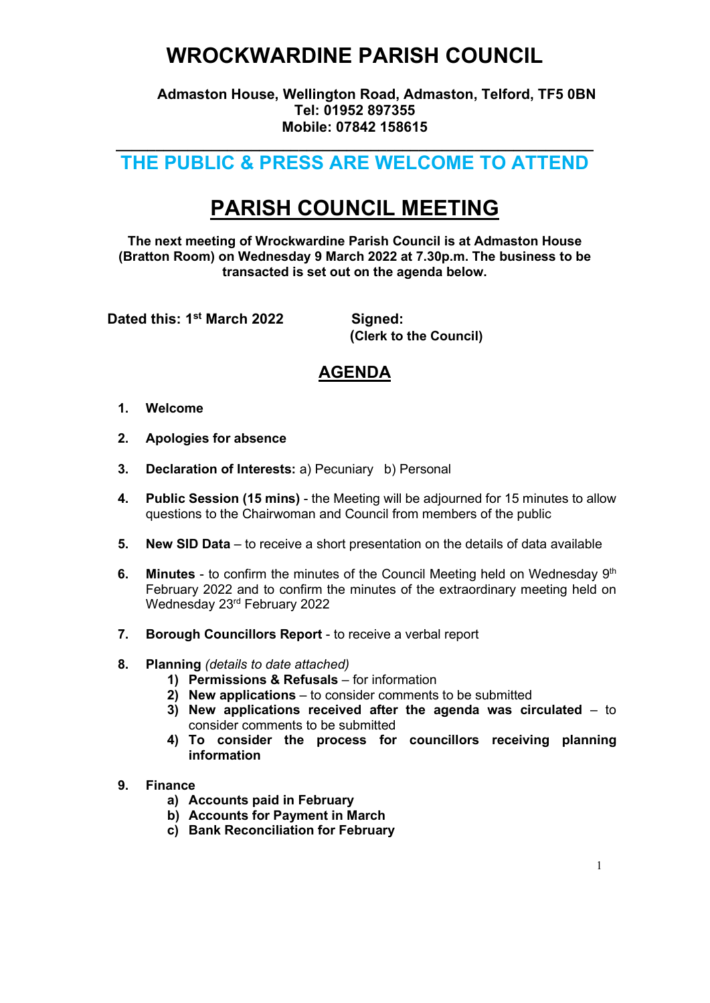## WROCKWARDINE PARISH COUNCIL

 Admaston House, Wellington Road, Admaston, Telford, TF5 0BN Tel: 01952 897355 Mobile: 07842 158615

### $\overline{\phantom{a}}$  , and the contribution of the contribution of the contribution of the contribution of the contribution of the contribution of the contribution of the contribution of the contribution of the contribution of the THE PUBLIC & PRESS ARE WELCOME TO ATTEND

# PARISH COUNCIL MEETING

The next meeting of Wrockwardine Parish Council is at Admaston House (Bratton Room) on Wednesday 9 March 2022 at 7.30p.m. The business to be transacted is set out on the agenda below.

Dated this: 1<sup>st</sup> March 2022 Signed:

(Clerk to the Council)

### AGENDA

- 1. Welcome
- 2. Apologies for absence
- 3. Declaration of Interests: a) Pecuniary b) Personal
- 4. Public Session (15 mins) the Meeting will be adjourned for 15 minutes to allow questions to the Chairwoman and Council from members of the public
- 5. New SID Data to receive a short presentation on the details of data available
- 6. Minutes to confirm the minutes of the Council Meeting held on Wednesday  $9<sup>th</sup>$ February 2022 and to confirm the minutes of the extraordinary meeting held on Wednesday 23rd February 2022
- 7. Borough Councillors Report to receive a verbal report
- 8. Planning (details to date attached)
	- 1) Permissions & Refusals for information
	- 2) New applications to consider comments to be submitted
	- 3) New applications received after the agenda was circulated to consider comments to be submitted
	- 4) To consider the process for councillors receiving planning information

#### 9. Finance

- a) Accounts paid in February
- b) Accounts for Payment in March
- c) Bank Reconciliation for February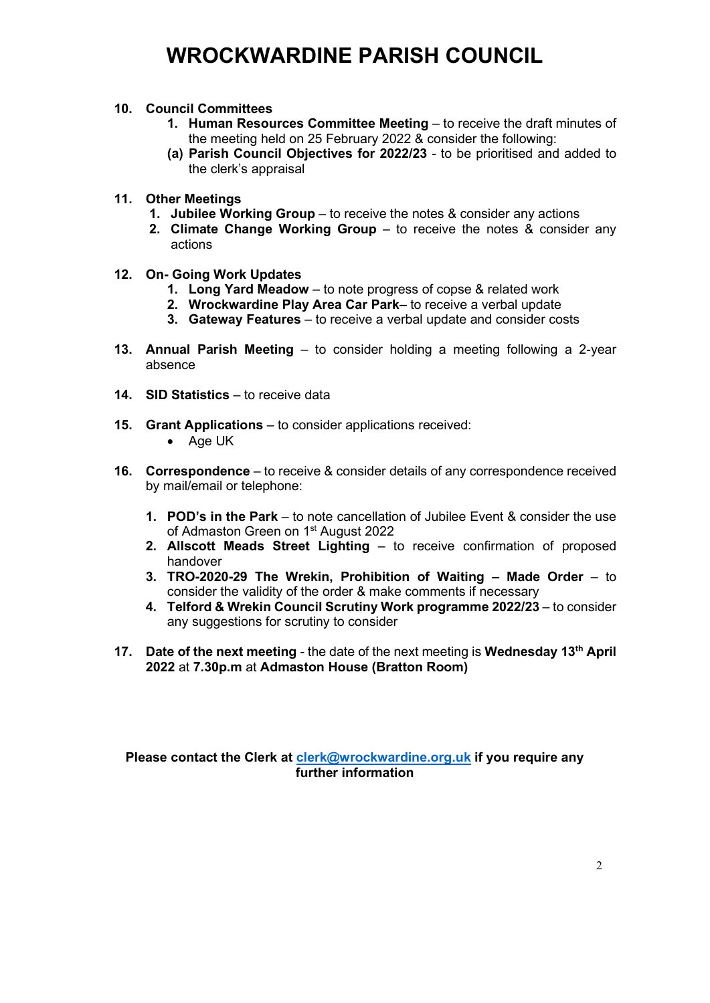## WROCKWARDINE PARISH COUNCIL

#### 10. Council Committees

- 1. Human Resources Committee Meeting to receive the draft minutes of the meeting held on 25 February 2022 & consider the following:
- (a) Parish Council Objectives for 2022/23 to be prioritised and added to the clerk's appraisal

#### 11. Other Meetings

- 1. Jubilee Working Group to receive the notes & consider any actions
- 2. Climate Change Working Group to receive the notes & consider any actions
- 12. On- Going Work Updates
	- 1. Long Yard Meadow to note progress of copse & related work
	- 2. Wrockwardine Play Area Car Park– to receive a verbal update
	- 3. Gateway Features to receive a verbal update and consider costs
- 13. Annual Parish Meeting to consider holding a meeting following a 2-year absence
- 14. SID Statistics to receive data
- 15. Grant Applications to consider applications received:
	- Age UK
- 16. Correspondence to receive & consider details of any correspondence received by mail/email or telephone:
	- 1. POD's in the Park to note cancellation of Jubilee Event & consider the use of Admaston Green on 1<sup>st</sup> August 2022
	- 2. Allscott Meads Street Lighting to receive confirmation of proposed handover
	- 3. TRO-2020-29 The Wrekin, Prohibition of Waiting Made Order to consider the validity of the order & make comments if necessary
	- 4. Telford & Wrekin Council Scrutiny Work programme 2022/23 to consider any suggestions for scrutiny to consider
- 17. Date of the next meeting the date of the next meeting is Wednesday 13<sup>th</sup> April 2022 at 7.30p.m at Admaston House (Bratton Room)

Please contact the Clerk at clerk@wrockwardine.org.uk if you require any further information